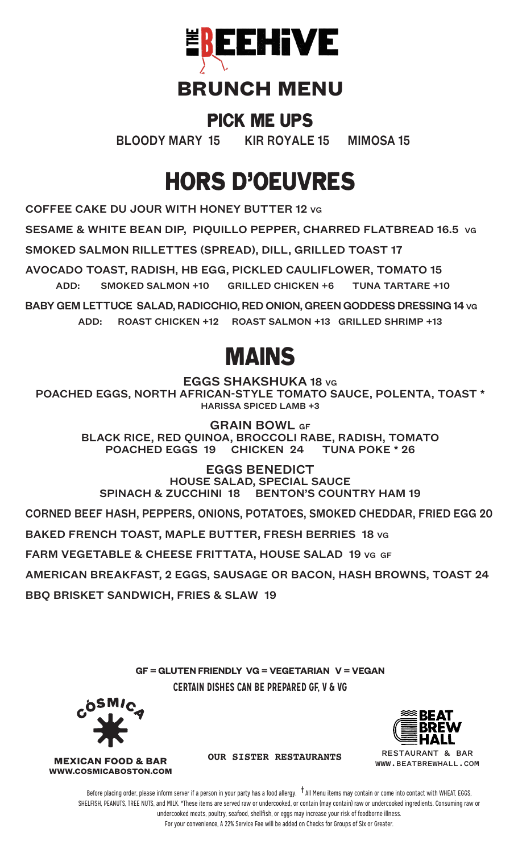

### **BRUNCH MENU**

#### PICK ME UPS

BLOODY MARY 15 KIR ROYALE 15 MIMOSA 15

# HORS D'OEUVRES

COFFEE CAKE DU JOUR WITH HONEY BUTTER 12 VG

SESAME & WHITE BEAN DIP, PIQUILLO PEPPER, CHARRED FLATBREAD 16.5 VG

SMOKED SALMON RILLETTES (SPREAD), DILL, GRILLED TOAST 17

AVOCADO TOAST, RADISH, HB EGG, PICKLED CAULIFLOWER, TOMATO 15 ADD: SMOKED SALMON +10 GRILLED CHICKEN +6 TUNA TARTARE +10

BABY GEM LETTUCE SALAD, RADICCHIO, RED ONION, GREEN GODDESS DRESSING 14 VG ADD: ROAST CHICKEN +12 ROAST SALMON +13 GRILLED SHRIMP +13

## MAINS

EGGS SHAKSHUKA 18 VG

POACHED EGGS, NORTH AFRICAN-STYLE TOMATO SAUCE, POLENTA, TOAST \* HARISSA SPICED LAMB +3

GRAIN BOWL GF

BLACK RICE, RED QUINOA, BROCCOLI RABE, RADISH, TOMATO POACHED EGGS 19 CHICKEN 24 TUNA POKE \* 26

EGGS BENEDICT HOUSE SALAD, SPECIAL SAUCE SPINACH & ZUCCHINI 18 BENTON'S COUNTRY HAM 19

CORNED BEEF HASH, PEPPERS, ONIONS, POTATOES, SMOKED CHEDDAR, FRIED EGG 20

BAKED FRENCH TOAST, MAPLE BUTTER, FRESH BERRIES 18 VG

FARM VEGETABLE & CHEESE FRITTATA, HOUSE SALAD 19 VG GF

AMERICAN BREAKFAST, 2 EGGS, SAUSAGE OR BACON, HASH BROWNS, TOAST 24

BBQ BRISKET SANDWICH, FRIES & SLAW 19

**GF = GLUTEN FRIENDLY VG = VEGETARIAN V = VEGAN CERTAIN DISHES CAN BE PREPARED GF, V & VG**



**WWW.COSMICABOSTON.COM**



**RESTAURANT & BAR WWW.BEATBREWHALL.COM**

**MEXICAN FOOD & BAR OUR SISTER RESTAURANTS**

Before placing order, please inform server if a person in your party has a food allergy. **†** All Menu items may contain or come into contact with WHEAT, EGGS, SHELFISH, PEANUTS, TREE NUTS, and MILK. \*These items are served raw or undercooked, or contain (may contain) raw or undercooked ingredients. Consuming raw or undercooked meats, poultry, seafood, shellfish, or eggs may increase your risk of foodborne illness. For your convenience, A 22% Service Fee will be added on Checks for Groups of Six or Greater.